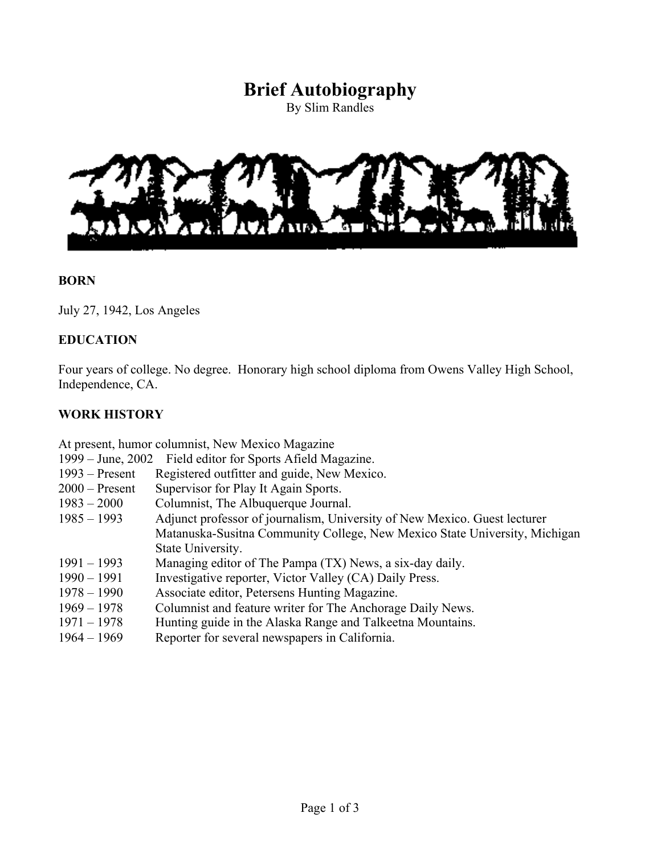# **Brief Autobiography**

By Slim Randles



#### **BORN**

July 27, 1942, Los Angeles

#### **EDUCATION**

Four years of college. No degree. Honorary high school diploma from Owens Valley High School, Independence, CA.

#### **WORK HISTORY**

At present, humor columnist, New Mexico Magazine

|  | 1999 – June, 2002 Field editor for Sports Afield Magazine. |
|--|------------------------------------------------------------|

- 1993 Present Registered outfitter and guide, New Mexico.
- 2000 Present Supervisor for Play It Again Sports.
- 1983 2000 Columnist, The Albuquerque Journal.
- 1985 1993 Adjunct professor of journalism, University of New Mexico. Guest lecturer Matanuska-Susitna Community College, New Mexico State University, Michigan State University.
- 1991 1993 Managing editor of The Pampa (TX) News, a six-day daily.
- 1990 1991 Investigative reporter, Victor Valley (CA) Daily Press.
- 1978 1990 Associate editor, Petersens Hunting Magazine.
- 1969 1978 Columnist and feature writer for The Anchorage Daily News.
- 1971 1978 Hunting guide in the Alaska Range and Talkeetna Mountains.
- 1964 1969 Reporter for several newspapers in California.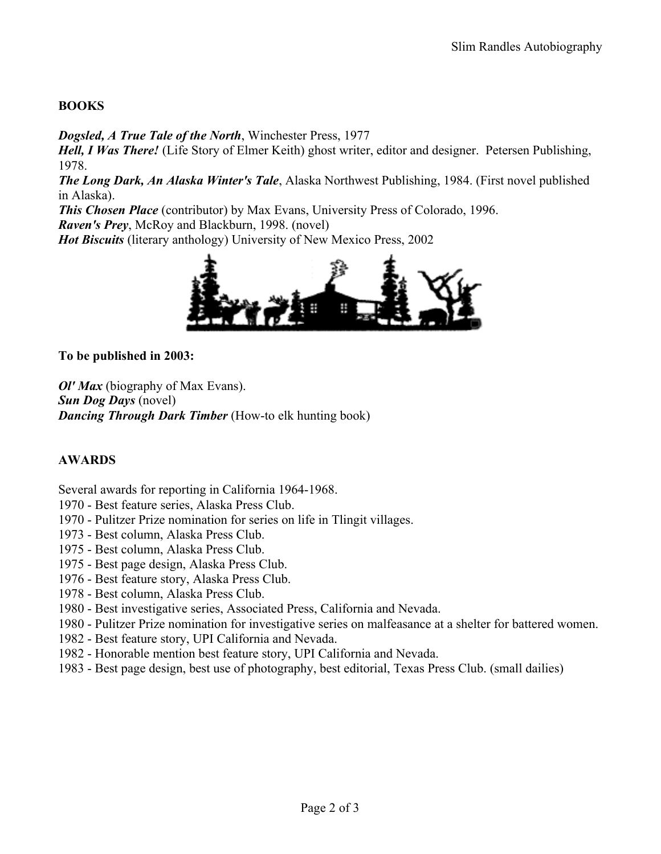## **BOOKS**

*Dogsled, A True Tale of the North*, Winchester Press, 1977

*Hell, I Was There!* (Life Story of Elmer Keith) ghost writer, editor and designer. Petersen Publishing, 1978.

*The Long Dark, An Alaska Winter's Tale*, Alaska Northwest Publishing, 1984. (First novel published in Alaska).

*This Chosen Place* (contributor) by Max Evans, University Press of Colorado, 1996. *Raven's Prey*, McRoy and Blackburn, 1998. (novel)

*Hot Biscuits* (literary anthology) University of New Mexico Press, 2002



**To be published in 2003:**

*Ol' Max* (biography of Max Evans). *Sun Dog Days* (novel) *Dancing Through Dark Timber* (How-to elk hunting book)

## **AWARDS**

Several awards for reporting in California 1964-1968.

- 1970 Best feature series, Alaska Press Club.
- 1970 Pulitzer Prize nomination for series on life in Tlingit villages.
- 1973 Best column, Alaska Press Club.
- 1975 Best column, Alaska Press Club.
- 1975 Best page design, Alaska Press Club.
- 1976 Best feature story, Alaska Press Club.
- 1978 Best column, Alaska Press Club.
- 1980 Best investigative series, Associated Press, California and Nevada.
- 1980 Pulitzer Prize nomination for investigative series on malfeasance at a shelter for battered women.
- 1982 Best feature story, UPI California and Nevada.
- 1982 Honorable mention best feature story, UPI California and Nevada.
- 1983 Best page design, best use of photography, best editorial, Texas Press Club. (small dailies)